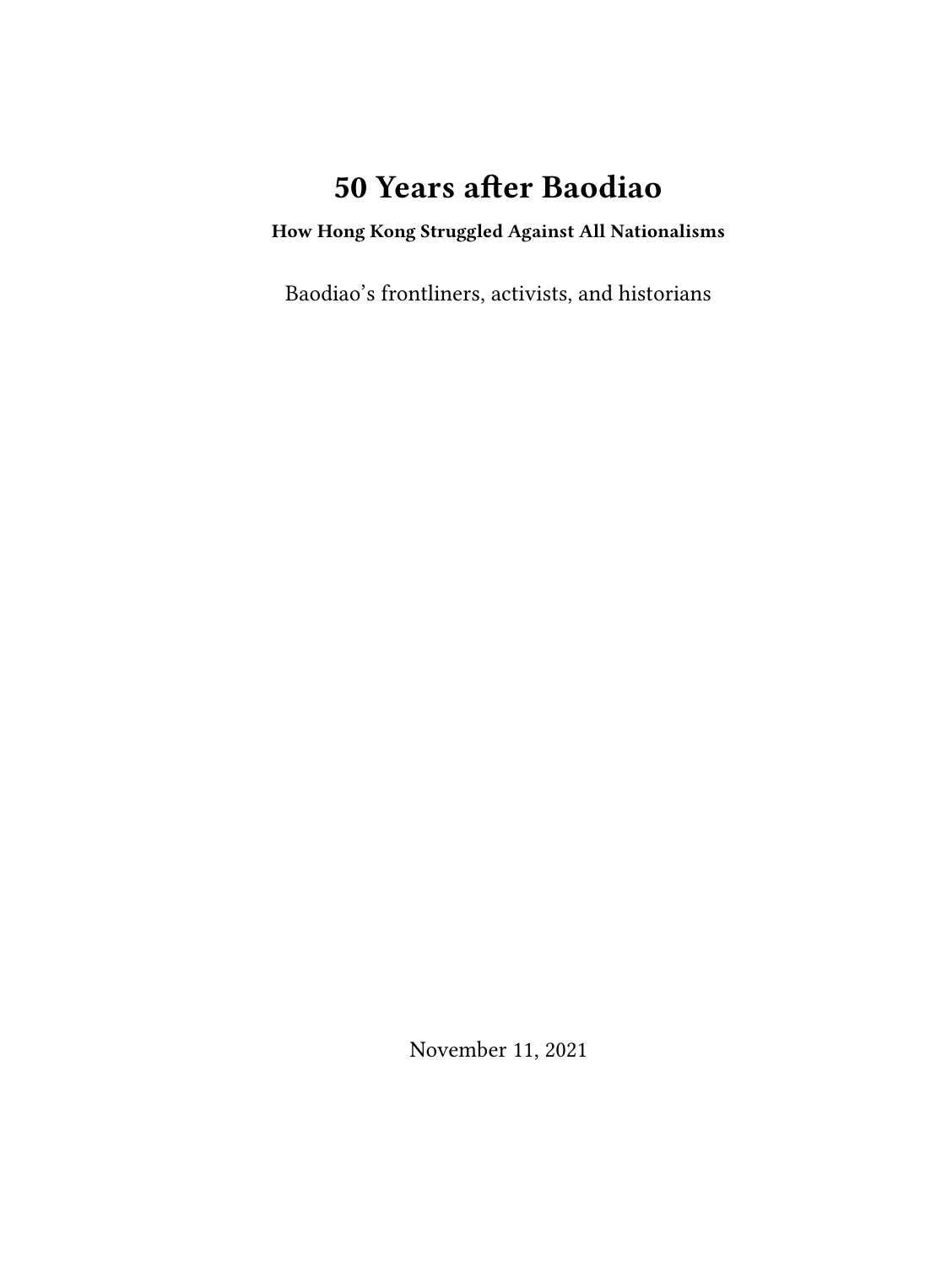# **50 Years after Baodiao**

### **How Hong Kong Struggled Against All Nationalisms**

Baodiao's frontliners, activists, and historians

November 11, 2021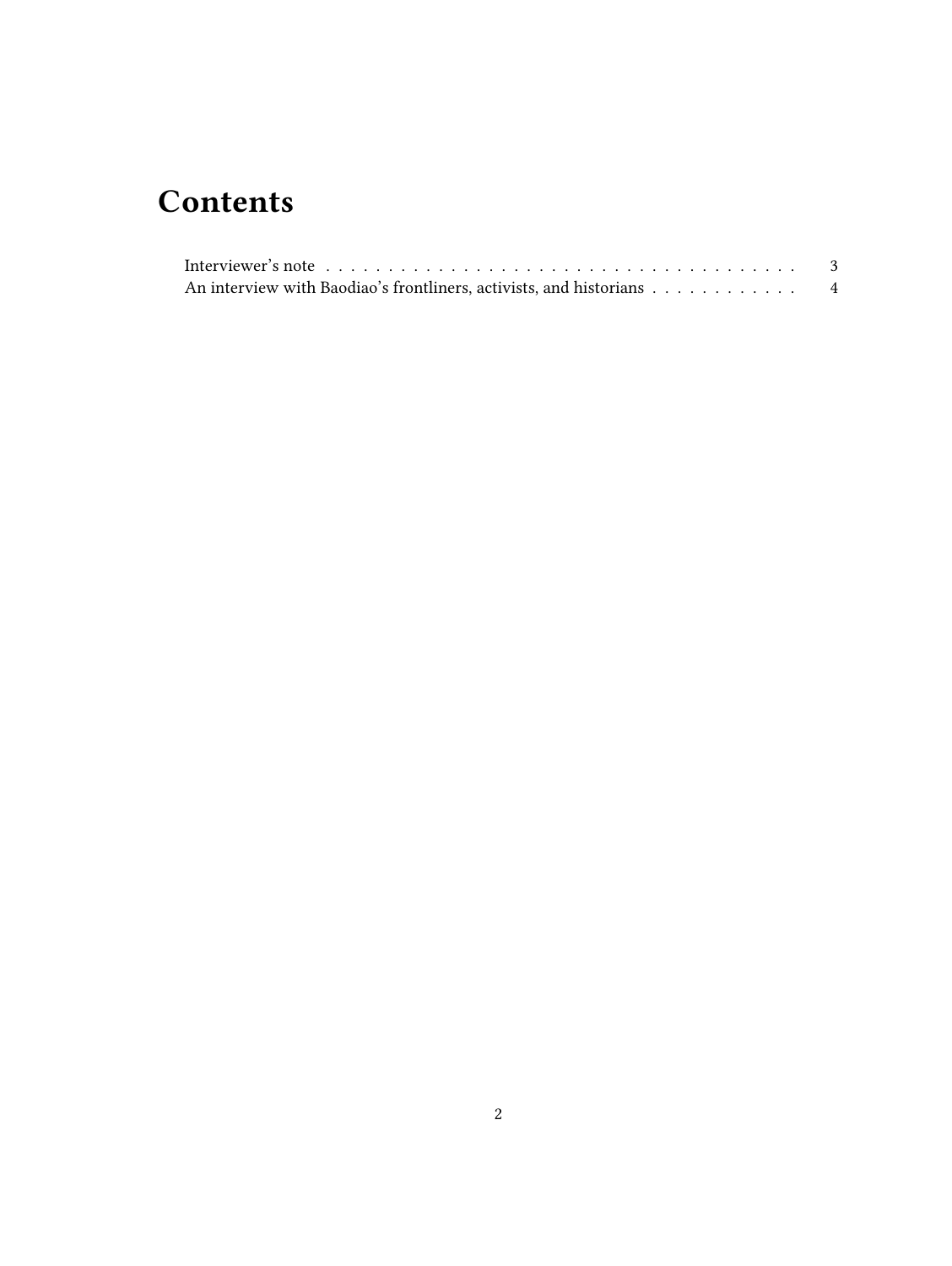## **Contents**

| An interview with Baodiao's frontliners, activists, and historians 4 |  |
|----------------------------------------------------------------------|--|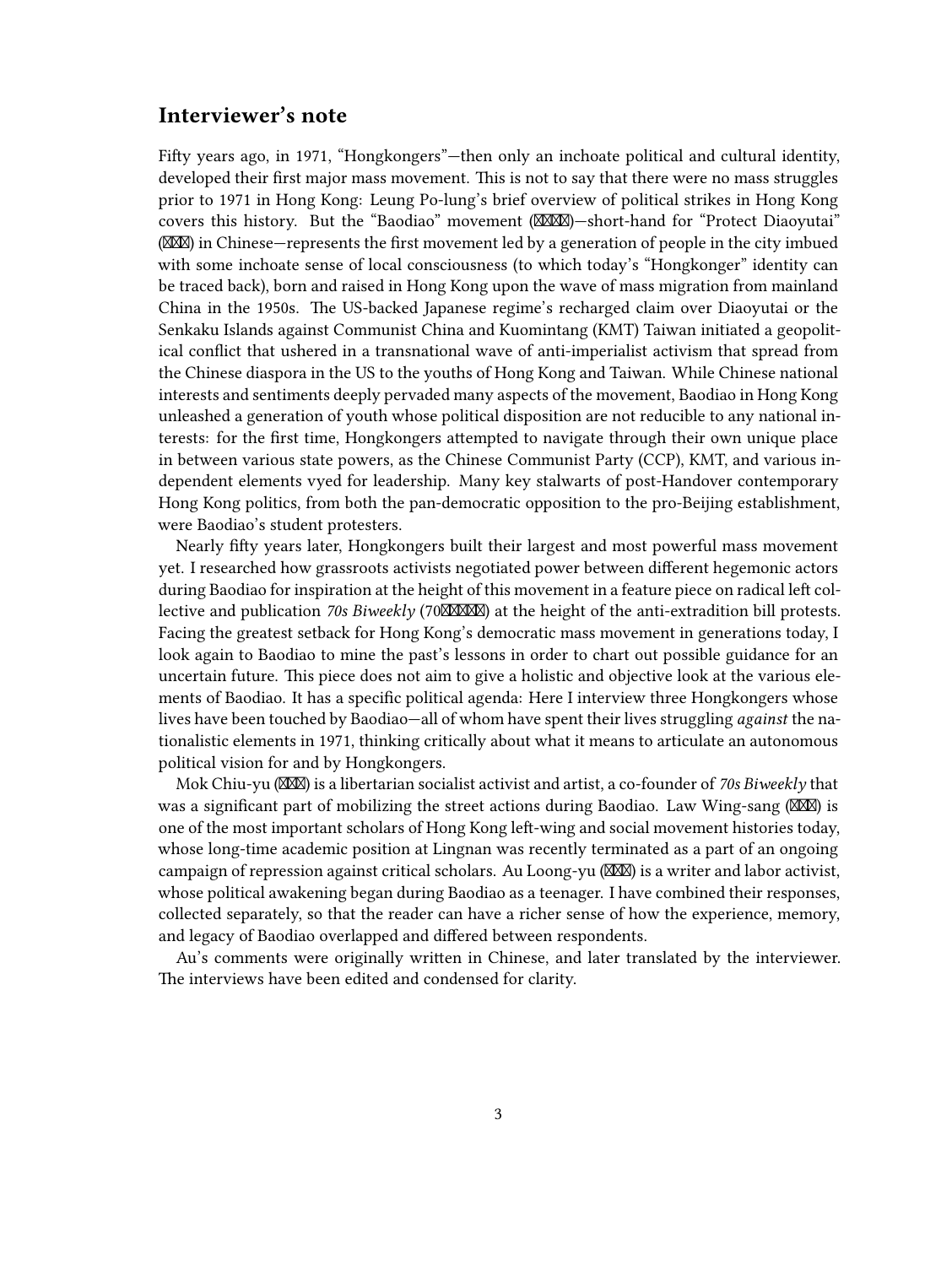#### <span id="page-2-0"></span>**Interviewer's note**

Fifty years ago, in 1971, "Hongkongers"—then only an inchoate political and cultural identity, developed their first major mass movement. This is not to say that there were no mass struggles prior to 1971 in Hong Kong: Leung Po-lung's brief overview of political strikes in Hong Kong covers this history. But the "Baodiao" movement ( $\mathbb{X}\mathbb{X}\mathbb{X}$ )-short-hand for "Protect Diaoyutai"  $(\boxtimes 1)$  in Chinese—represents the first movement led by a generation of people in the city imbued with some inchoate sense of local consciousness (to which today's "Hongkonger" identity can be traced back), born and raised in Hong Kong upon the wave of mass migration from mainland China in the 1950s. The US-backed Japanese regime's recharged claim over Diaoyutai or the Senkaku Islands against Communist China and Kuomintang (KMT) Taiwan initiated a geopolitical conflict that ushered in a transnational wave of anti-imperialist activism that spread from the Chinese diaspora in the US to the youths of Hong Kong and Taiwan. While Chinese national interests and sentiments deeply pervaded many aspects of the movement, Baodiao in Hong Kong unleashed a generation of youth whose political disposition are not reducible to any national interests: for the first time, Hongkongers attempted to navigate through their own unique place in between various state powers, as the Chinese Communist Party (CCP), KMT, and various independent elements vyed for leadership. Many key stalwarts of post-Handover contemporary Hong Kong politics, from both the pan-democratic opposition to the pro-Beijing establishment, were Baodiao's student protesters.

Nearly fifty years later, Hongkongers built their largest and most powerful mass movement yet. I researched how grassroots activists negotiated power between different hegemonic actors during Baodiao for inspiration at the height of this movement in a feature piece on radical left collective and publication 70s Biweekly (70XXXXX) at the height of the anti-extradition bill protests. Facing the greatest setback for Hong Kong's democratic mass movement in generations today, I look again to Baodiao to mine the past's lessons in order to chart out possible guidance for an uncertain future. This piece does not aim to give a holistic and objective look at the various elements of Baodiao. It has a specific political agenda: Here I interview three Hongkongers whose lives have been touched by Baodiao—all of whom have spent their lives struggling *against* the nationalistic elements in 1971, thinking critically about what it means to articulate an autonomous political vision for and by Hongkongers.

Mok Chiu-yu (XXX) is a libertarian socialist activist and artist, a co-founder of 70s Biweekly that was a significant part of mobilizing the street actions during Baodiao. Law Wing-sang  $(\sqrt{2\pi}\sqrt{2})$  is one of the most important scholars of Hong Kong left-wing and social movement histories today, whose long-time academic position at Lingnan was recently terminated as a part of an ongoing campaign of repression against critical scholars. Au Loong-yu ( $\boxtimes \boxtimes$ ) is a writer and labor activist, whose political awakening began during Baodiao as a teenager. I have combined their responses, collected separately, so that the reader can have a richer sense of how the experience, memory, and legacy of Baodiao overlapped and differed between respondents.

Au's comments were originally written in Chinese, and later translated by the interviewer. The interviews have been edited and condensed for clarity.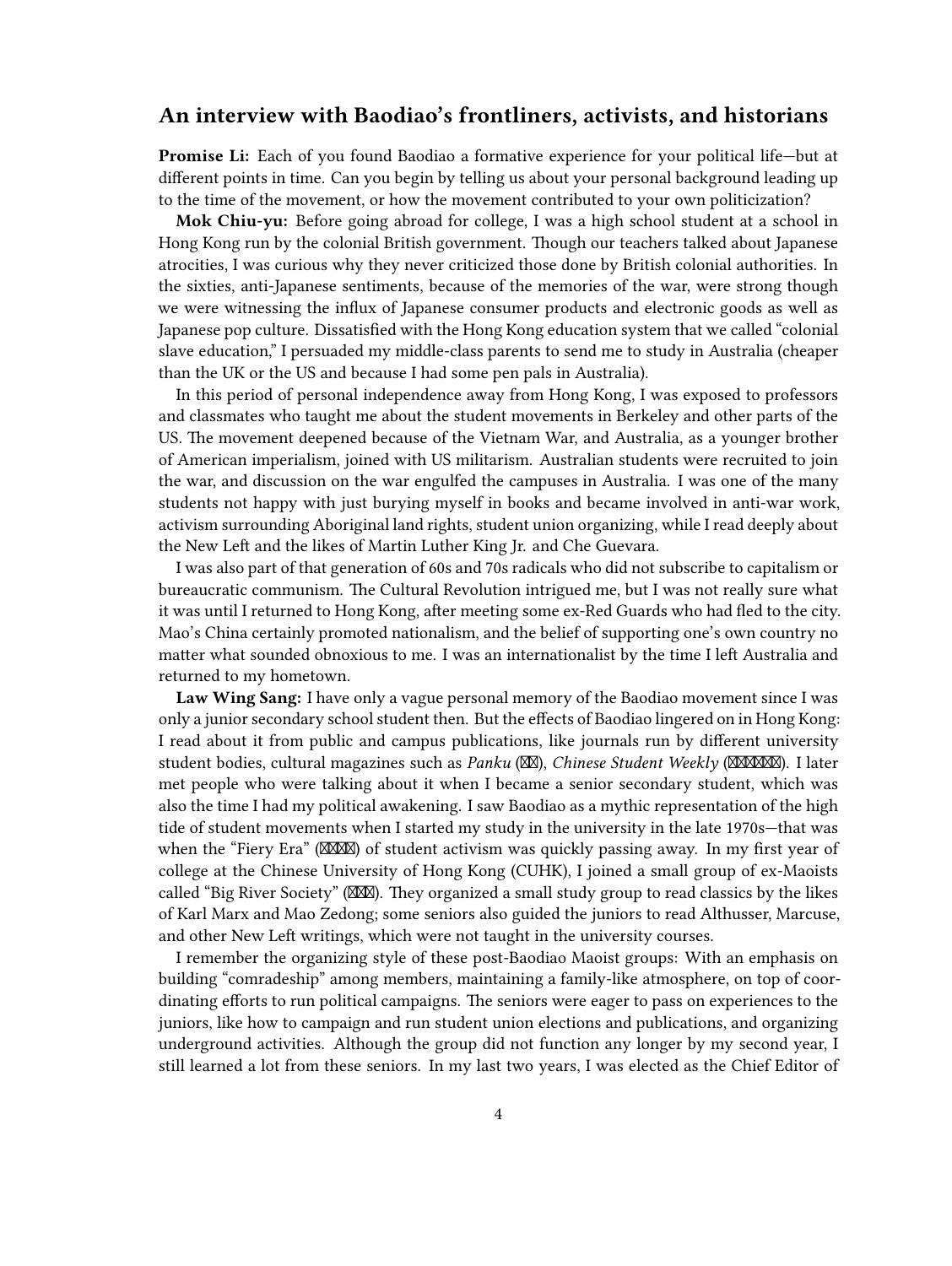### <span id="page-3-0"></span>**An interview with Baodiao's frontliners, activists, and historians**

**Promise Li:** Each of you found Baodiao a formative experience for your political life—but at different points in time. Can you begin by telling us about your personal background leading up to the time of the movement, or how the movement contributed to your own politicization?

**Mok Chiu-yu:** Before going abroad for college, I was a high school student at a school in Hong Kong run by the colonial British government. Though our teachers talked about Japanese atrocities, I was curious why they never criticized those done by British colonial authorities. In the sixties, anti-Japanese sentiments, because of the memories of the war, were strong though we were witnessing the influx of Japanese consumer products and electronic goods as well as Japanese pop culture. Dissatisfied with the Hong Kong education system that we called "colonial slave education," I persuaded my middle-class parents to send me to study in Australia (cheaper than the UK or the US and because I had some pen pals in Australia).

In this period of personal independence away from Hong Kong, I was exposed to professors and classmates who taught me about the student movements in Berkeley and other parts of the US. The movement deepened because of the Vietnam War, and Australia, as a younger brother of American imperialism, joined with US militarism. Australian students were recruited to join the war, and discussion on the war engulfed the campuses in Australia. I was one of the many students not happy with just burying myself in books and became involved in anti-war work, activism surrounding Aboriginal land rights, student union organizing, while I read deeply about the New Left and the likes of Martin Luther King Jr. and Che Guevara.

I was also part of that generation of 60s and 70s radicals who did not subscribe to capitalism or bureaucratic communism. The Cultural Revolution intrigued me, but I was not really sure what it was until I returned to Hong Kong, after meeting some ex-Red Guards who had fled to the city. Mao's China certainly promoted nationalism, and the belief of supporting one's own country no matter what sounded obnoxious to me. I was an internationalist by the time I left Australia and returned to my hometown.

**Law Wing Sang:** I have only a vague personal memory of the Baodiao movement since I was only a junior secondary school student then. But the effects of Baodiao lingered on in Hong Kong: I read about it from public and campus publications, like journals run by different university student bodies, cultural magazines such as *Panku* (XXI), *Chinese Student Weekly* (XXXXXXI). I later met people who were talking about it when I became a senior secondary student, which was also the time I had my political awakening. I saw Baodiao as a mythic representation of the high tide of student movements when I started my study in the university in the late 1970s—that was when the "Fiery Era" (XXXX) of student activism was quickly passing away. In my first year of college at the Chinese University of Hong Kong (CUHK), I joined a small group of ex-Maoists called "Big River Society" ( $\mathbb{M}\mathbb{N}$ ). They organized a small study group to read classics by the likes of Karl Marx and Mao Zedong; some seniors also guided the juniors to read Althusser, Marcuse, and other New Left writings, which were not taught in the university courses.

I remember the organizing style of these post-Baodiao Maoist groups: With an emphasis on building "comradeship" among members, maintaining a family-like atmosphere, on top of coordinating efforts to run political campaigns. The seniors were eager to pass on experiences to the juniors, like how to campaign and run student union elections and publications, and organizing underground activities. Although the group did not function any longer by my second year, I still learned a lot from these seniors. In my last two years, I was elected as the Chief Editor of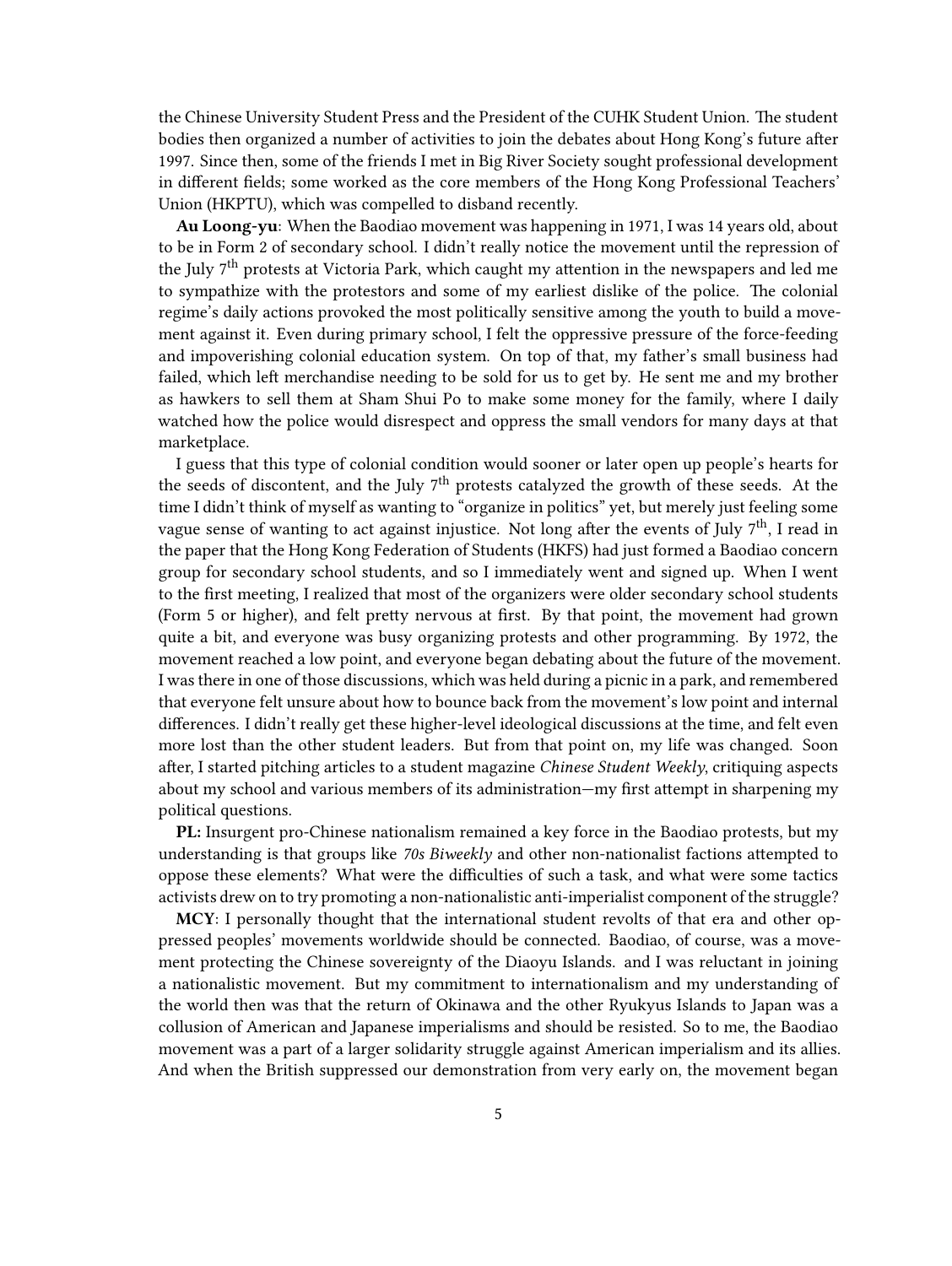the Chinese University Student Press and the President of the CUHK Student Union. The student bodies then organized a number of activities to join the debates about Hong Kong's future after 1997. Since then, some of the friends I met in Big River Society sought professional development in different fields; some worked as the core members of the Hong Kong Professional Teachers' Union (HKPTU), which was compelled to disband recently.

**Au Loong-yu**: When the Baodiao movement was happening in 1971, I was 14 years old, about to be in Form 2 of secondary school. I didn't really notice the movement until the repression of the July  $7<sup>th</sup>$  protests at Victoria Park, which caught my attention in the newspapers and led me to sympathize with the protestors and some of my earliest dislike of the police. The colonial regime's daily actions provoked the most politically sensitive among the youth to build a movement against it. Even during primary school, I felt the oppressive pressure of the force-feeding and impoverishing colonial education system. On top of that, my father's small business had failed, which left merchandise needing to be sold for us to get by. He sent me and my brother as hawkers to sell them at Sham Shui Po to make some money for the family, where I daily watched how the police would disrespect and oppress the small vendors for many days at that marketplace.

I guess that this type of colonial condition would sooner or later open up people's hearts for the seeds of discontent, and the July 7th protests catalyzed the growth of these seeds. At the time I didn't think of myself as wanting to "organize in politics" yet, but merely just feeling some vague sense of wanting to act against injustice. Not long after the events of July  $7<sup>th</sup>$ , I read in the paper that the Hong Kong Federation of Students (HKFS) had just formed a Baodiao concern group for secondary school students, and so I immediately went and signed up. When I went to the first meeting, I realized that most of the organizers were older secondary school students (Form 5 or higher), and felt pretty nervous at first. By that point, the movement had grown quite a bit, and everyone was busy organizing protests and other programming. By 1972, the movement reached a low point, and everyone began debating about the future of the movement. I was there in one of those discussions, which was held during a picnic in a park, and remembered that everyone felt unsure about how to bounce back from the movement's low point and internal differences. I didn't really get these higher-level ideological discussions at the time, and felt even more lost than the other student leaders. But from that point on, my life was changed. Soon after, I started pitching articles to a student magazine *Chinese Student Weekly*, critiquing aspects about my school and various members of its administration—my first attempt in sharpening my political questions.

**PL:** Insurgent pro-Chinese nationalism remained a key force in the Baodiao protests, but my understanding is that groups like *70s Biweekly* and other non-nationalist factions attempted to oppose these elements? What were the difficulties of such a task, and what were some tactics activists drew on to try promoting a non-nationalistic anti-imperialist component of the struggle?

**MCY**: I personally thought that the international student revolts of that era and other oppressed peoples' movements worldwide should be connected. Baodiao, of course, was a movement protecting the Chinese sovereignty of the Diaoyu Islands. and I was reluctant in joining a nationalistic movement. But my commitment to internationalism and my understanding of the world then was that the return of Okinawa and the other Ryukyus Islands to Japan was a collusion of American and Japanese imperialisms and should be resisted. So to me, the Baodiao movement was a part of a larger solidarity struggle against American imperialism and its allies. And when the British suppressed our demonstration from very early on, the movement began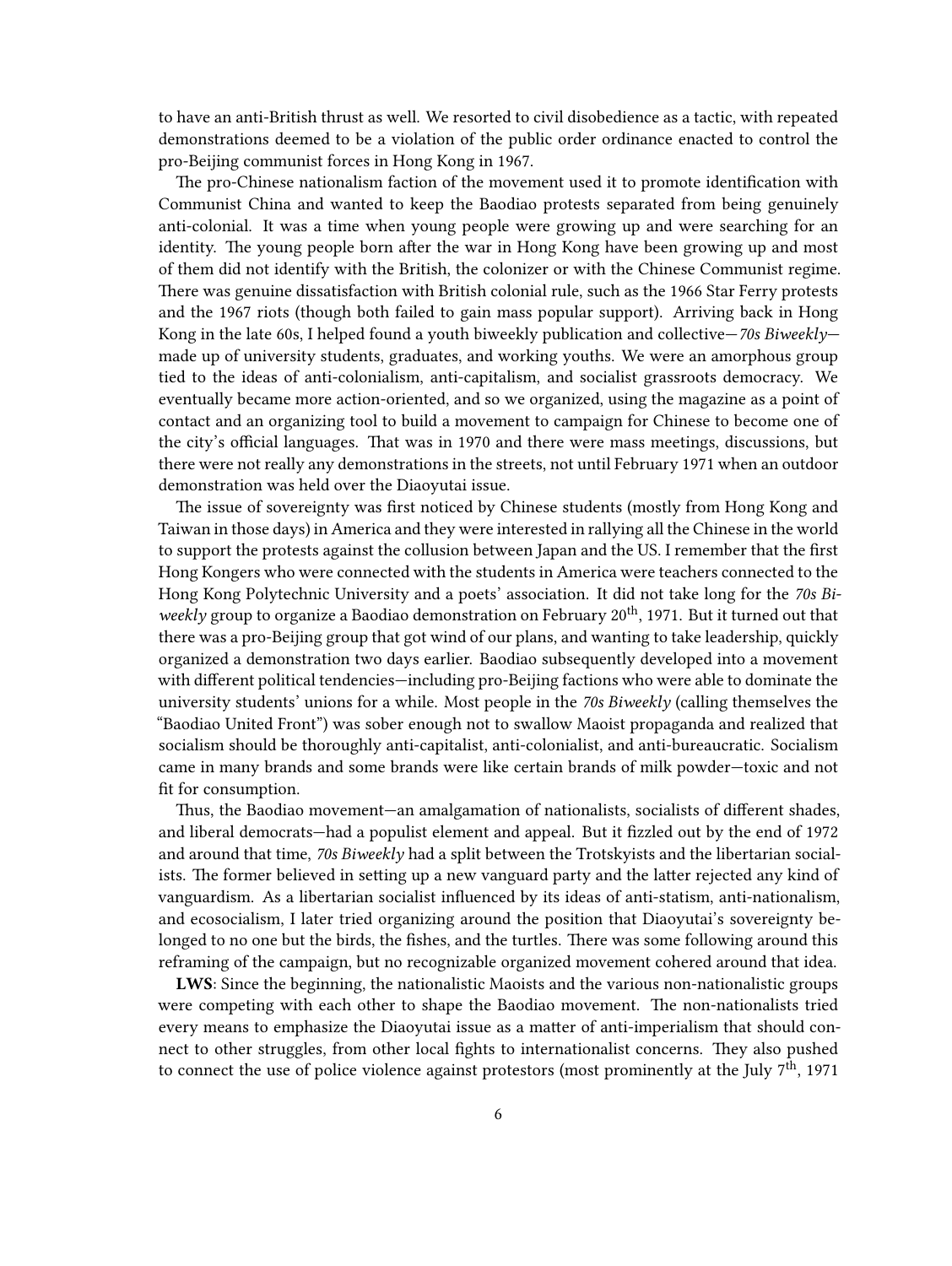to have an anti-British thrust as well. We resorted to civil disobedience as a tactic, with repeated demonstrations deemed to be a violation of the public order ordinance enacted to control the pro-Beijing communist forces in Hong Kong in 1967.

The pro-Chinese nationalism faction of the movement used it to promote identification with Communist China and wanted to keep the Baodiao protests separated from being genuinely anti-colonial. It was a time when young people were growing up and were searching for an identity. The young people born after the war in Hong Kong have been growing up and most of them did not identify with the British, the colonizer or with the Chinese Communist regime. There was genuine dissatisfaction with British colonial rule, such as the 1966 Star Ferry protests and the 1967 riots (though both failed to gain mass popular support). Arriving back in Hong Kong in the late 60s, I helped found a youth biweekly publication and collective—*70s Biweekly* made up of university students, graduates, and working youths. We were an amorphous group tied to the ideas of anti-colonialism, anti-capitalism, and socialist grassroots democracy. We eventually became more action-oriented, and so we organized, using the magazine as a point of contact and an organizing tool to build a movement to campaign for Chinese to become one of the city's official languages. That was in 1970 and there were mass meetings, discussions, but there were not really any demonstrations in the streets, not until February 1971 when an outdoor demonstration was held over the Diaoyutai issue.

The issue of sovereignty was first noticed by Chinese students (mostly from Hong Kong and Taiwan in those days) in America and they were interested in rallying all the Chinese in the world to support the protests against the collusion between Japan and the US. I remember that the first Hong Kongers who were connected with the students in America were teachers connected to the Hong Kong Polytechnic University and a poets' association. It did not take long for the *70s Biweekly* group to organize a Baodiao demonstration on February 20<sup>th</sup>, 1971. But it turned out that there was a pro-Beijing group that got wind of our plans, and wanting to take leadership, quickly organized a demonstration two days earlier. Baodiao subsequently developed into a movement with different political tendencies—including pro-Beijing factions who were able to dominate the university students' unions for a while. Most people in the *70s Biweekly* (calling themselves the "Baodiao United Front") was sober enough not to swallow Maoist propaganda and realized that socialism should be thoroughly anti-capitalist, anti-colonialist, and anti-bureaucratic. Socialism came in many brands and some brands were like certain brands of milk powder—toxic and not fit for consumption.

Thus, the Baodiao movement—an amalgamation of nationalists, socialists of different shades, and liberal democrats—had a populist element and appeal. But it fizzled out by the end of 1972 and around that time, *70s Biweekly* had a split between the Trotskyists and the libertarian socialists. The former believed in setting up a new vanguard party and the latter rejected any kind of vanguardism. As a libertarian socialist influenced by its ideas of anti-statism, anti-nationalism, and ecosocialism, I later tried organizing around the position that Diaoyutai's sovereignty belonged to no one but the birds, the fishes, and the turtles. There was some following around this reframing of the campaign, but no recognizable organized movement cohered around that idea.

**LWS**: Since the beginning, the nationalistic Maoists and the various non-nationalistic groups were competing with each other to shape the Baodiao movement. The non-nationalists tried every means to emphasize the Diaoyutai issue as a matter of anti-imperialism that should connect to other struggles, from other local fights to internationalist concerns. They also pushed to connect the use of police violence against protestors (most prominently at the July  $7<sup>th</sup>$ , 1971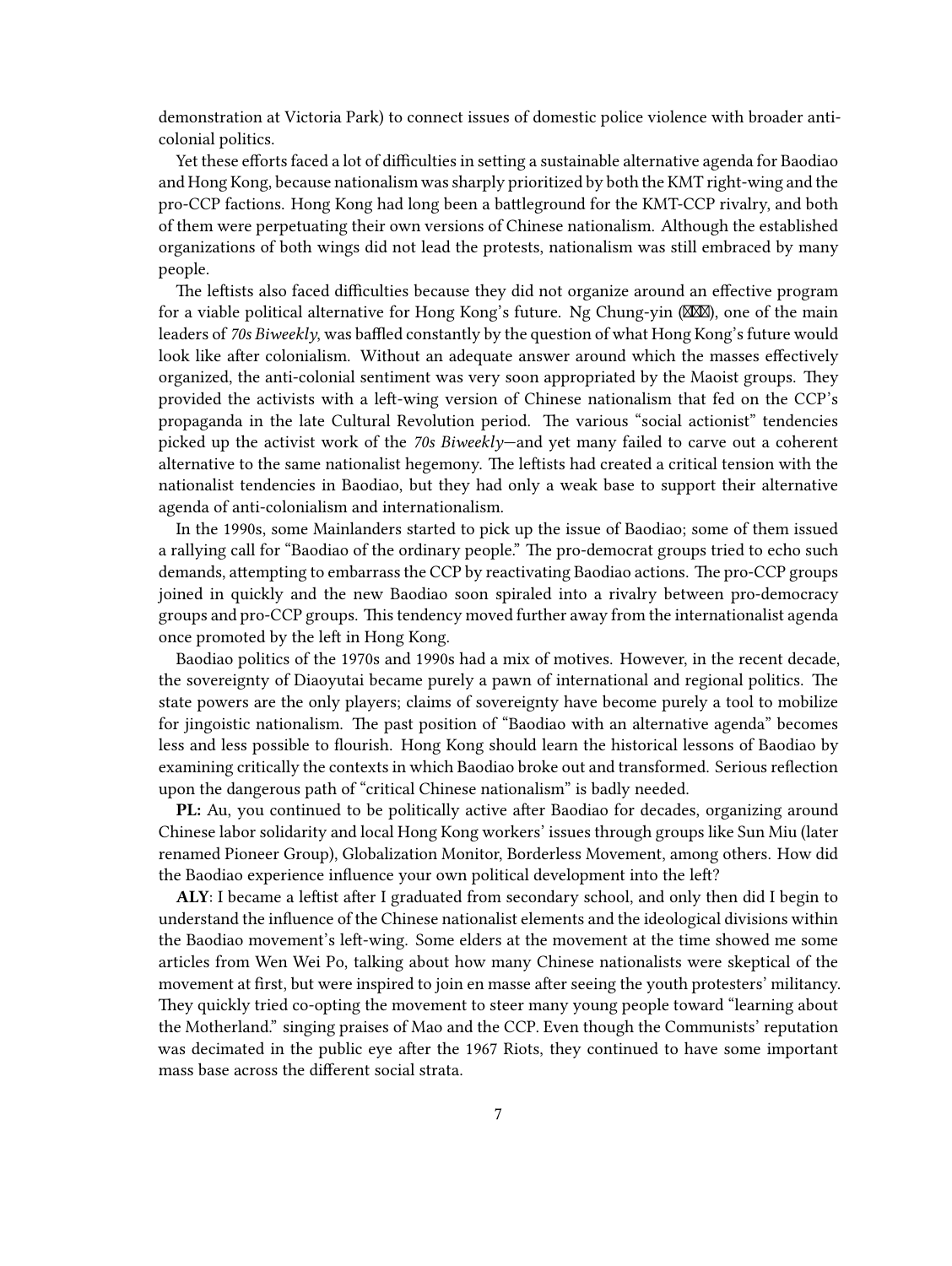demonstration at Victoria Park) to connect issues of domestic police violence with broader anticolonial politics.

Yet these efforts faced a lot of difficulties in setting a sustainable alternative agenda for Baodiao and Hong Kong, because nationalism was sharply prioritized by both the KMT right-wing and the pro-CCP factions. Hong Kong had long been a battleground for the KMT-CCP rivalry, and both of them were perpetuating their own versions of Chinese nationalism. Although the established organizations of both wings did not lead the protests, nationalism was still embraced by many people.

The leftists also faced difficulties because they did not organize around an effective program for a viable political alternative for Hong Kong's future. Ng Chung-yin  $(\mathbb{X}\mathbb{X})$ , one of the main leaders of *70s Biweekly*, was baffled constantly by the question of what Hong Kong's future would look like after colonialism. Without an adequate answer around which the masses effectively organized, the anti-colonial sentiment was very soon appropriated by the Maoist groups. They provided the activists with a left-wing version of Chinese nationalism that fed on the CCP's propaganda in the late Cultural Revolution period. The various "social actionist" tendencies picked up the activist work of the *70s Biweekly*—and yet many failed to carve out a coherent alternative to the same nationalist hegemony. The leftists had created a critical tension with the nationalist tendencies in Baodiao, but they had only a weak base to support their alternative agenda of anti-colonialism and internationalism.

In the 1990s, some Mainlanders started to pick up the issue of Baodiao; some of them issued a rallying call for "Baodiao of the ordinary people." The pro-democrat groups tried to echo such demands, attempting to embarrass the CCP by reactivating Baodiao actions. The pro-CCP groups joined in quickly and the new Baodiao soon spiraled into a rivalry between pro-democracy groups and pro-CCP groups. This tendency moved further away from the internationalist agenda once promoted by the left in Hong Kong.

Baodiao politics of the 1970s and 1990s had a mix of motives. However, in the recent decade, the sovereignty of Diaoyutai became purely a pawn of international and regional politics. The state powers are the only players; claims of sovereignty have become purely a tool to mobilize for jingoistic nationalism. The past position of "Baodiao with an alternative agenda" becomes less and less possible to flourish. Hong Kong should learn the historical lessons of Baodiao by examining critically the contexts in which Baodiao broke out and transformed. Serious reflection upon the dangerous path of "critical Chinese nationalism" is badly needed.

**PL:** Au, you continued to be politically active after Baodiao for decades, organizing around Chinese labor solidarity and local Hong Kong workers' issues through groups like Sun Miu (later renamed Pioneer Group), Globalization Monitor, Borderless Movement, among others. How did the Baodiao experience influence your own political development into the left?

**ALY**: I became a leftist after I graduated from secondary school, and only then did I begin to understand the influence of the Chinese nationalist elements and the ideological divisions within the Baodiao movement's left-wing. Some elders at the movement at the time showed me some articles from Wen Wei Po, talking about how many Chinese nationalists were skeptical of the movement at first, but were inspired to join en masse after seeing the youth protesters' militancy. They quickly tried co-opting the movement to steer many young people toward "learning about the Motherland." singing praises of Mao and the CCP. Even though the Communists' reputation was decimated in the public eye after the 1967 Riots, they continued to have some important mass base across the different social strata.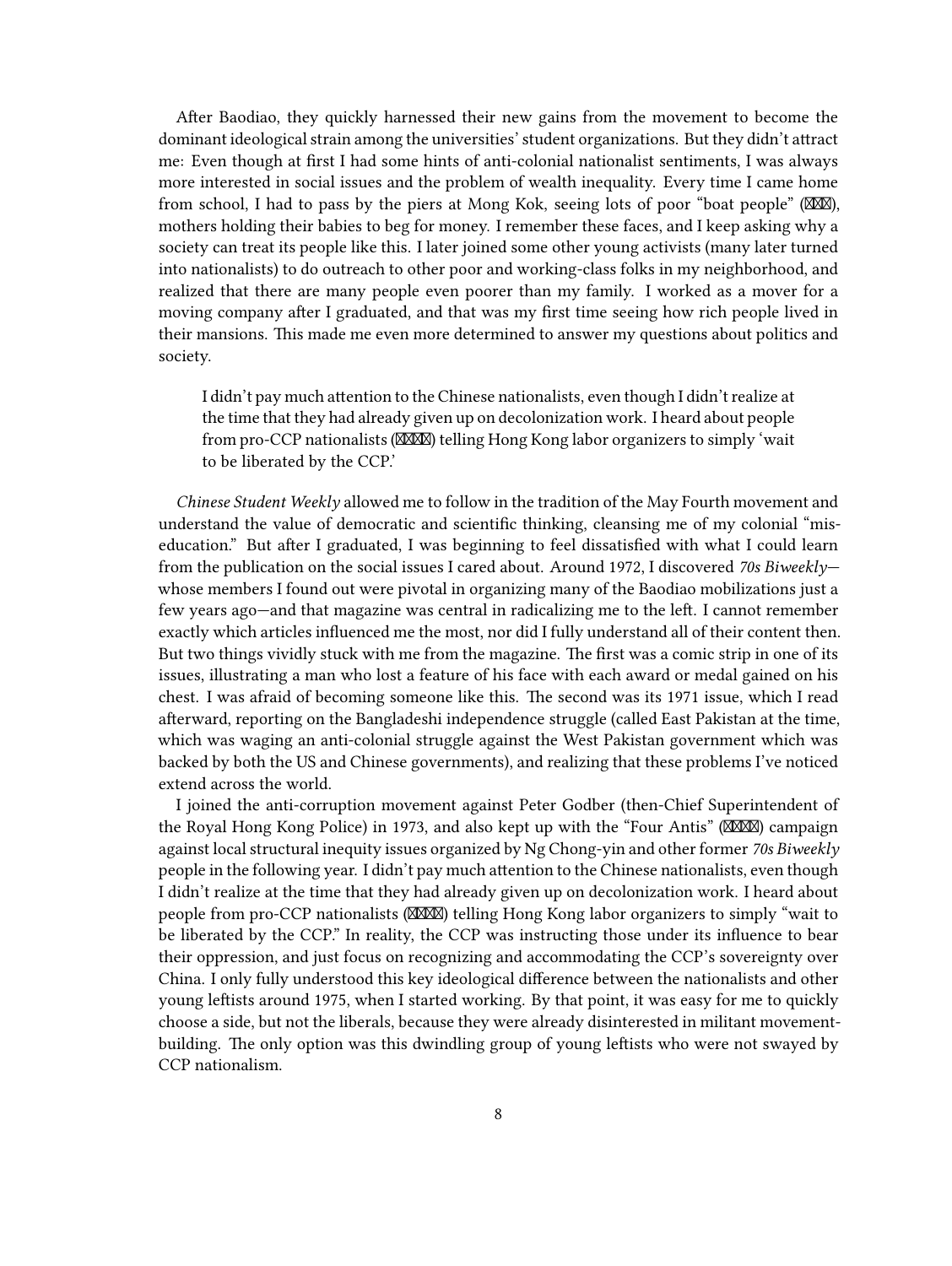After Baodiao, they quickly harnessed their new gains from the movement to become the dominant ideological strain among the universities' student organizations. But they didn't attract me: Even though at first I had some hints of anti-colonial nationalist sentiments, I was always more interested in social issues and the problem of wealth inequality. Every time I came home from school, I had to pass by the piers at Mong Kok, seeing lots of poor "boat people" ( $\mathbb{X}\mathbb{X}\mathbb{X}$ ), mothers holding their babies to beg for money. I remember these faces, and I keep asking why a society can treat its people like this. I later joined some other young activists (many later turned into nationalists) to do outreach to other poor and working-class folks in my neighborhood, and realized that there are many people even poorer than my family. I worked as a mover for a moving company after I graduated, and that was my first time seeing how rich people lived in their mansions. This made me even more determined to answer my questions about politics and society.

I didn't pay much attention to the Chinese nationalists, even though I didn't realize at the time that they had already given up on decolonization work. I heard about people from pro-CCP nationalists ( $\mathbb{M}\mathbb{M}$ ) telling Hong Kong labor organizers to simply 'wait to be liberated by the CCP.'

*Chinese Student Weekly* allowed me to follow in the tradition of the May Fourth movement and understand the value of democratic and scientific thinking, cleansing me of my colonial "miseducation." But after I graduated, I was beginning to feel dissatisfied with what I could learn from the publication on the social issues I cared about. Around 1972, I discovered *70s Biweekly* whose members I found out were pivotal in organizing many of the Baodiao mobilizations just a few years ago—and that magazine was central in radicalizing me to the left. I cannot remember exactly which articles influenced me the most, nor did I fully understand all of their content then. But two things vividly stuck with me from the magazine. The first was a comic strip in one of its issues, illustrating a man who lost a feature of his face with each award or medal gained on his chest. I was afraid of becoming someone like this. The second was its 1971 issue, which I read afterward, reporting on the Bangladeshi independence struggle (called East Pakistan at the time, which was waging an anti-colonial struggle against the West Pakistan government which was backed by both the US and Chinese governments), and realizing that these problems I've noticed extend across the world.

I joined the anti-corruption movement against Peter Godber (then-Chief Superintendent of the Royal Hong Kong Police) in 1973, and also kept up with the "Four Antis" (XXXXIII) campaign against local structural inequity issues organized by Ng Chong-yin and other former *70s Biweekly* people in the following year. I didn't pay much attention to the Chinese nationalists, even though I didn't realize at the time that they had already given up on decolonization work. I heard about people from pro-CCP nationalists (XXXX) telling Hong Kong labor organizers to simply "wait to be liberated by the CCP." In reality, the CCP was instructing those under its influence to bear their oppression, and just focus on recognizing and accommodating the CCP's sovereignty over China. I only fully understood this key ideological difference between the nationalists and other young leftists around 1975, when I started working. By that point, it was easy for me to quickly choose a side, but not the liberals, because they were already disinterested in militant movementbuilding. The only option was this dwindling group of young leftists who were not swayed by CCP nationalism.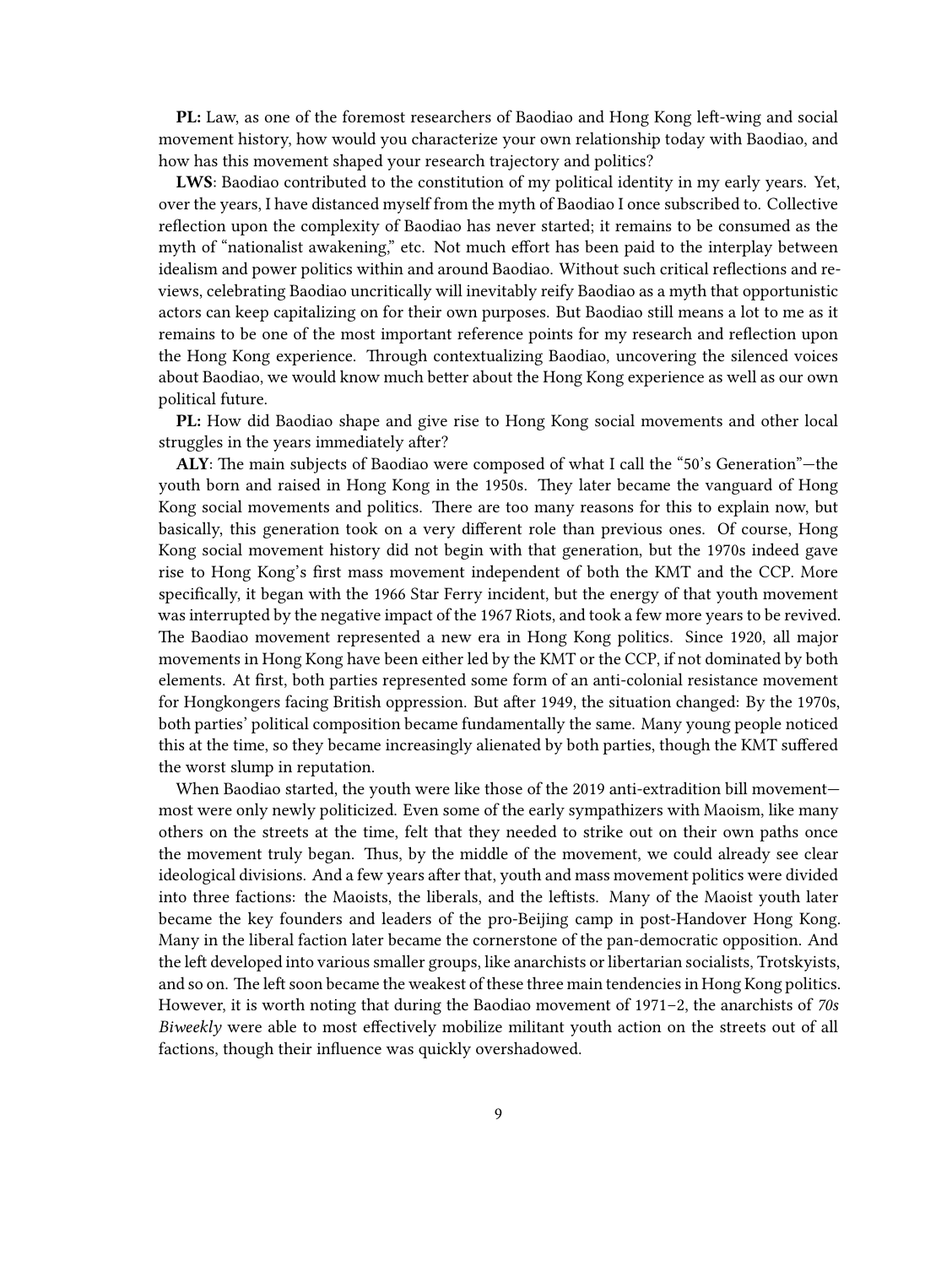**PL:** Law, as one of the foremost researchers of Baodiao and Hong Kong left-wing and social movement history, how would you characterize your own relationship today with Baodiao, and how has this movement shaped your research trajectory and politics?

**LWS**: Baodiao contributed to the constitution of my political identity in my early years. Yet, over the years, I have distanced myself from the myth of Baodiao I once subscribed to. Collective reflection upon the complexity of Baodiao has never started; it remains to be consumed as the myth of "nationalist awakening," etc. Not much effort has been paid to the interplay between idealism and power politics within and around Baodiao. Without such critical reflections and reviews, celebrating Baodiao uncritically will inevitably reify Baodiao as a myth that opportunistic actors can keep capitalizing on for their own purposes. But Baodiao still means a lot to me as it remains to be one of the most important reference points for my research and reflection upon the Hong Kong experience. Through contextualizing Baodiao, uncovering the silenced voices about Baodiao, we would know much better about the Hong Kong experience as well as our own political future.

**PL:** How did Baodiao shape and give rise to Hong Kong social movements and other local struggles in the years immediately after?

**ALY**: The main subjects of Baodiao were composed of what I call the "50's Generation"—the youth born and raised in Hong Kong in the 1950s. They later became the vanguard of Hong Kong social movements and politics. There are too many reasons for this to explain now, but basically, this generation took on a very different role than previous ones. Of course, Hong Kong social movement history did not begin with that generation, but the 1970s indeed gave rise to Hong Kong's first mass movement independent of both the KMT and the CCP. More specifically, it began with the 1966 Star Ferry incident, but the energy of that youth movement was interrupted by the negative impact of the 1967 Riots, and took a few more years to be revived. The Baodiao movement represented a new era in Hong Kong politics. Since 1920, all major movements in Hong Kong have been either led by the KMT or the CCP, if not dominated by both elements. At first, both parties represented some form of an anti-colonial resistance movement for Hongkongers facing British oppression. But after 1949, the situation changed: By the 1970s, both parties' political composition became fundamentally the same. Many young people noticed this at the time, so they became increasingly alienated by both parties, though the KMT suffered the worst slump in reputation.

When Baodiao started, the youth were like those of the 2019 anti-extradition bill movement most were only newly politicized. Even some of the early sympathizers with Maoism, like many others on the streets at the time, felt that they needed to strike out on their own paths once the movement truly began. Thus, by the middle of the movement, we could already see clear ideological divisions. And a few years after that, youth and mass movement politics were divided into three factions: the Maoists, the liberals, and the leftists. Many of the Maoist youth later became the key founders and leaders of the pro-Beijing camp in post-Handover Hong Kong. Many in the liberal faction later became the cornerstone of the pan-democratic opposition. And the left developed into various smaller groups, like anarchists or libertarian socialists, Trotskyists, and so on. The left soon became the weakest of these three main tendencies in Hong Kong politics. However, it is worth noting that during the Baodiao movement of 1971–2, the anarchists of *70s Biweekly* were able to most effectively mobilize militant youth action on the streets out of all factions, though their influence was quickly overshadowed.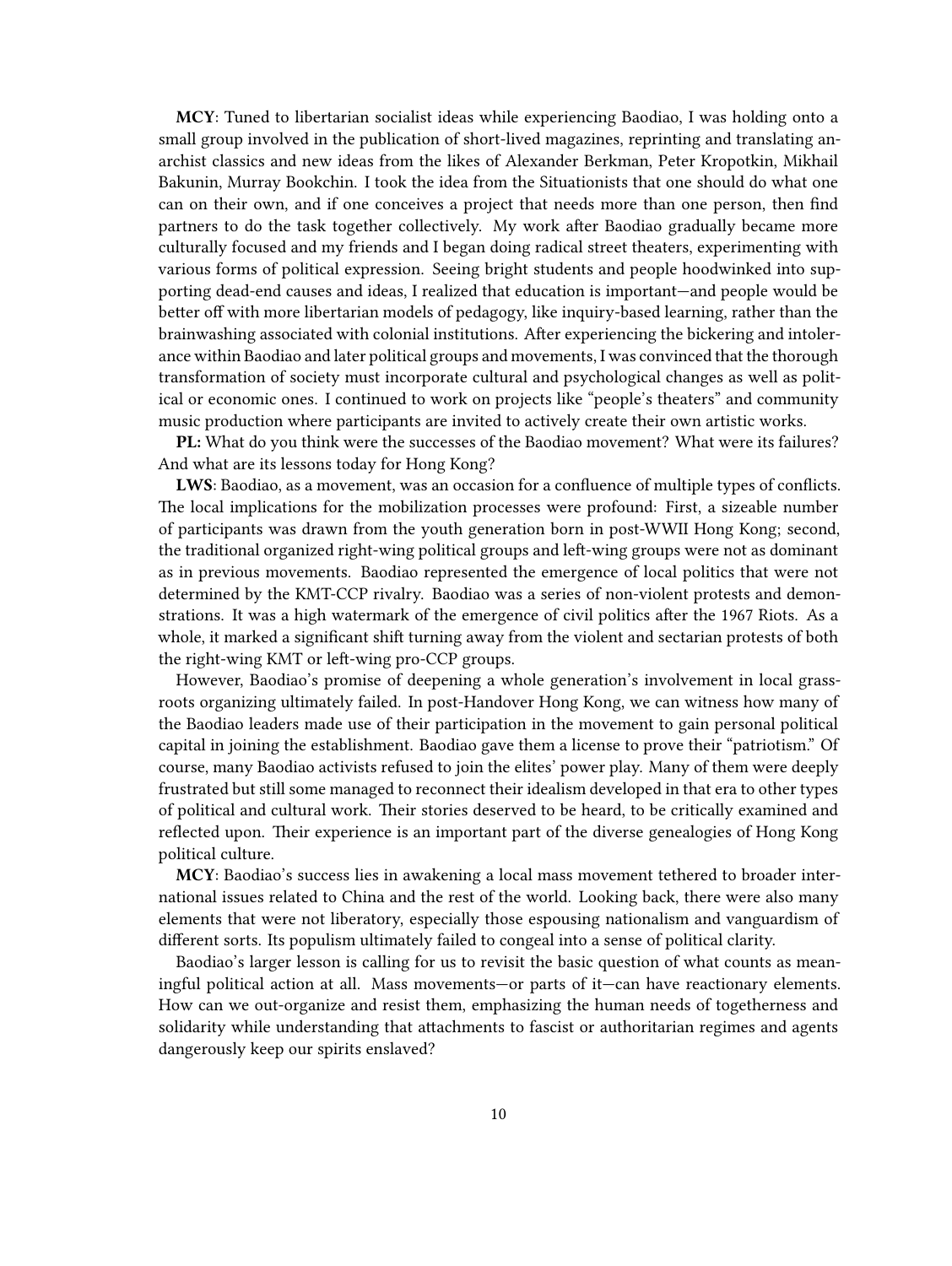**MCY**: Tuned to libertarian socialist ideas while experiencing Baodiao, I was holding onto a small group involved in the publication of short-lived magazines, reprinting and translating anarchist classics and new ideas from the likes of Alexander Berkman, Peter Kropotkin, Mikhail Bakunin, Murray Bookchin. I took the idea from the Situationists that one should do what one can on their own, and if one conceives a project that needs more than one person, then find partners to do the task together collectively. My work after Baodiao gradually became more culturally focused and my friends and I began doing radical street theaters, experimenting with various forms of political expression. Seeing bright students and people hoodwinked into supporting dead-end causes and ideas, I realized that education is important—and people would be better off with more libertarian models of pedagogy, like inquiry-based learning, rather than the brainwashing associated with colonial institutions. After experiencing the bickering and intolerance within Baodiao and later political groups and movements, I was convinced that the thorough transformation of society must incorporate cultural and psychological changes as well as political or economic ones. I continued to work on projects like "people's theaters" and community music production where participants are invited to actively create their own artistic works.

**PL:** What do you think were the successes of the Baodiao movement? What were its failures? And what are its lessons today for Hong Kong?

**LWS**: Baodiao, as a movement, was an occasion for a confluence of multiple types of conflicts. The local implications for the mobilization processes were profound: First, a sizeable number of participants was drawn from the youth generation born in post-WWII Hong Kong; second, the traditional organized right-wing political groups and left-wing groups were not as dominant as in previous movements. Baodiao represented the emergence of local politics that were not determined by the KMT-CCP rivalry. Baodiao was a series of non-violent protests and demonstrations. It was a high watermark of the emergence of civil politics after the 1967 Riots. As a whole, it marked a significant shift turning away from the violent and sectarian protests of both the right-wing KMT or left-wing pro-CCP groups.

However, Baodiao's promise of deepening a whole generation's involvement in local grassroots organizing ultimately failed. In post-Handover Hong Kong, we can witness how many of the Baodiao leaders made use of their participation in the movement to gain personal political capital in joining the establishment. Baodiao gave them a license to prove their "patriotism." Of course, many Baodiao activists refused to join the elites' power play. Many of them were deeply frustrated but still some managed to reconnect their idealism developed in that era to other types of political and cultural work. Their stories deserved to be heard, to be critically examined and reflected upon. Their experience is an important part of the diverse genealogies of Hong Kong political culture.

**MCY**: Baodiao's success lies in awakening a local mass movement tethered to broader international issues related to China and the rest of the world. Looking back, there were also many elements that were not liberatory, especially those espousing nationalism and vanguardism of different sorts. Its populism ultimately failed to congeal into a sense of political clarity.

Baodiao's larger lesson is calling for us to revisit the basic question of what counts as meaningful political action at all. Mass movements—or parts of it—can have reactionary elements. How can we out-organize and resist them, emphasizing the human needs of togetherness and solidarity while understanding that attachments to fascist or authoritarian regimes and agents dangerously keep our spirits enslaved?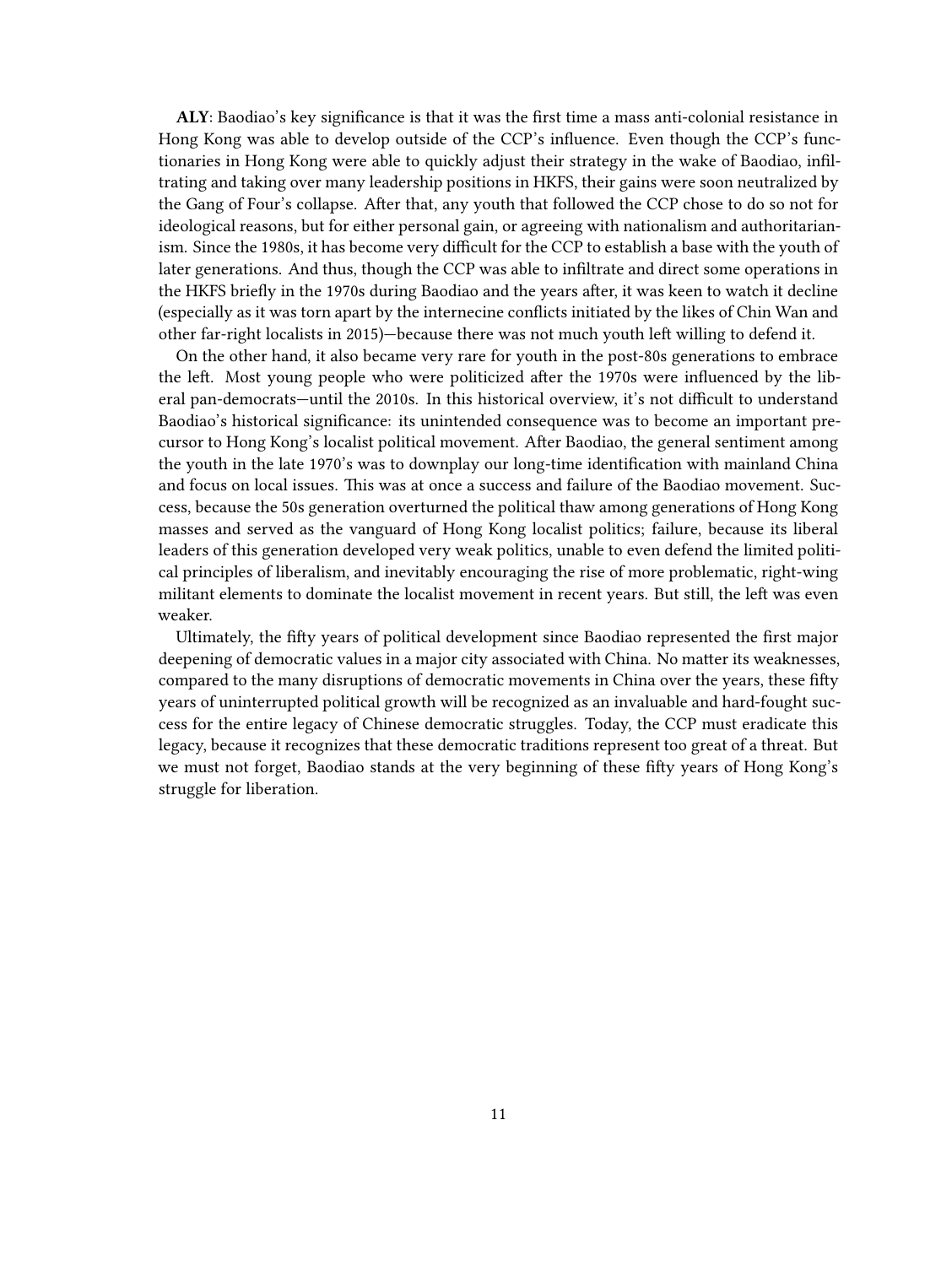**ALY**: Baodiao's key significance is that it was the first time a mass anti-colonial resistance in Hong Kong was able to develop outside of the CCP's influence. Even though the CCP's functionaries in Hong Kong were able to quickly adjust their strategy in the wake of Baodiao, infiltrating and taking over many leadership positions in HKFS, their gains were soon neutralized by the Gang of Four's collapse. After that, any youth that followed the CCP chose to do so not for ideological reasons, but for either personal gain, or agreeing with nationalism and authoritarianism. Since the 1980s, it has become very difficult for the CCP to establish a base with the youth of later generations. And thus, though the CCP was able to infiltrate and direct some operations in the HKFS briefly in the 1970s during Baodiao and the years after, it was keen to watch it decline (especially as it was torn apart by the internecine conflicts initiated by the likes of Chin Wan and other far-right localists in 2015)—because there was not much youth left willing to defend it.

On the other hand, it also became very rare for youth in the post-80s generations to embrace the left. Most young people who were politicized after the 1970s were influenced by the liberal pan-democrats—until the 2010s. In this historical overview, it's not difficult to understand Baodiao's historical significance: its unintended consequence was to become an important precursor to Hong Kong's localist political movement. After Baodiao, the general sentiment among the youth in the late 1970's was to downplay our long-time identification with mainland China and focus on local issues. This was at once a success and failure of the Baodiao movement. Success, because the 50s generation overturned the political thaw among generations of Hong Kong masses and served as the vanguard of Hong Kong localist politics; failure, because its liberal leaders of this generation developed very weak politics, unable to even defend the limited political principles of liberalism, and inevitably encouraging the rise of more problematic, right-wing militant elements to dominate the localist movement in recent years. But still, the left was even weaker.

Ultimately, the fifty years of political development since Baodiao represented the first major deepening of democratic values in a major city associated with China. No matter its weaknesses, compared to the many disruptions of democratic movements in China over the years, these fifty years of uninterrupted political growth will be recognized as an invaluable and hard-fought success for the entire legacy of Chinese democratic struggles. Today, the CCP must eradicate this legacy, because it recognizes that these democratic traditions represent too great of a threat. But we must not forget, Baodiao stands at the very beginning of these fifty years of Hong Kong's struggle for liberation.